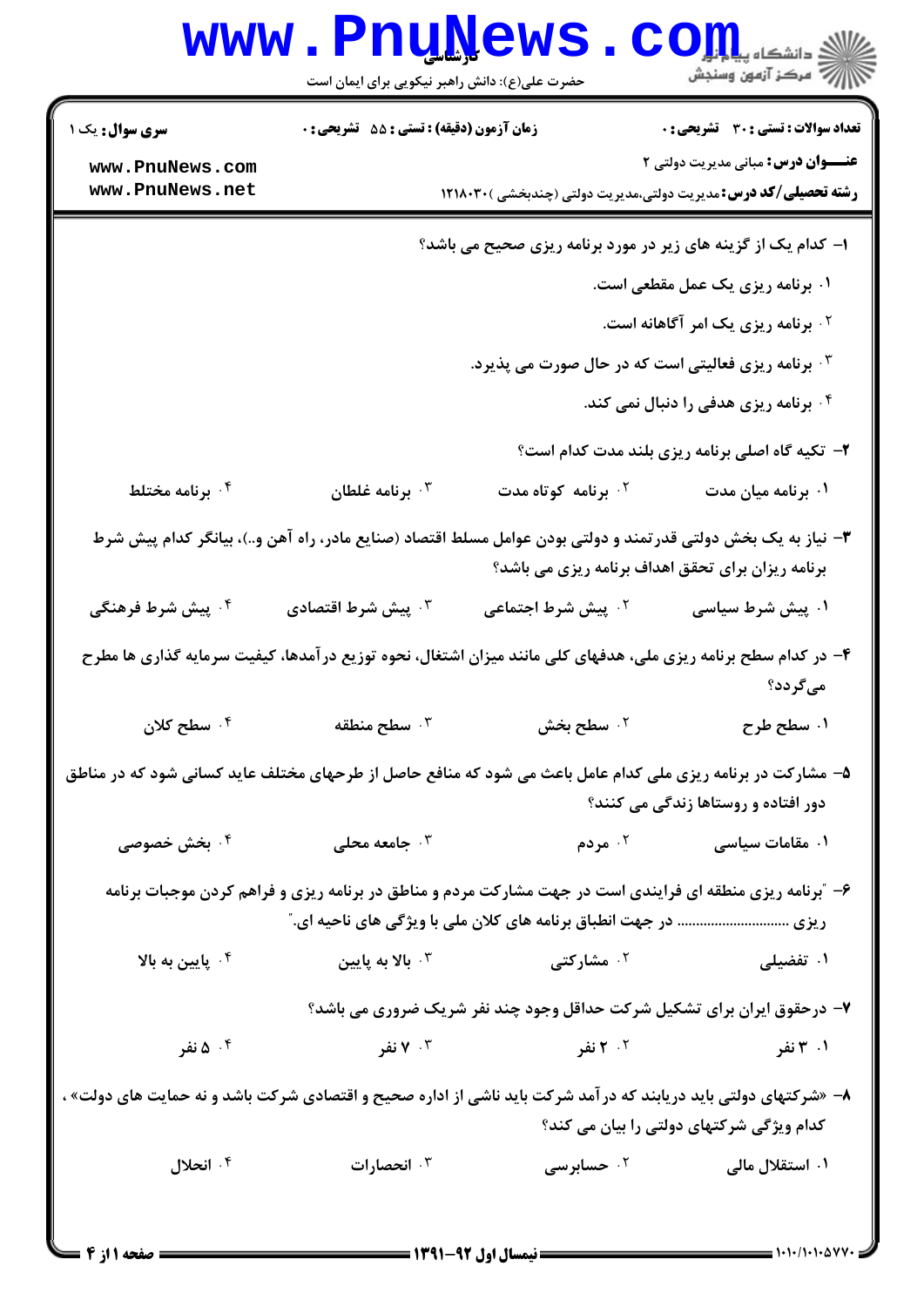|                                                                                                                                                                              | <b>www.PnuNews</b>                                         |                                 | کی دانشگاه پی <mark>ا پایان</mark><br>ا <sup>ور</sup> مرکز آزمون وسنجش                                                      |  |  |  |
|------------------------------------------------------------------------------------------------------------------------------------------------------------------------------|------------------------------------------------------------|---------------------------------|-----------------------------------------------------------------------------------------------------------------------------|--|--|--|
|                                                                                                                                                                              | حضرت علی(ع): دانش راهبر نیکویی برای ایمان است              |                                 |                                                                                                                             |  |  |  |
| <b>سری سوال :</b> یک ۱                                                                                                                                                       | زمان آزمون (دقیقه) : تستی : 55 آتشریحی : 0                 |                                 | <b>تعداد سوالات : تستی : 30 ٪ تشریحی : 0</b>                                                                                |  |  |  |
| www.PnuNews.com<br>www.PnuNews.net                                                                                                                                           |                                                            |                                 | <b>عنـــوان درس:</b> مبانی مدیریت دولتی ۲<br><b>رشته تحصیلی/کد درس:</b> مدیریت دولتی،مدیریت دولتی (چندبخشی ) <b>۱۲۱۸۰۳۰</b> |  |  |  |
| ا- کدام یک از گزینه های زیر در مورد برنامه ریزی صحیح می باشد؟                                                                                                                |                                                            |                                 |                                                                                                                             |  |  |  |
|                                                                                                                                                                              |                                                            |                                 | ۰۱ برنامه ریزی یک عمل مقطعی است.                                                                                            |  |  |  |
|                                                                                                                                                                              |                                                            |                                 | <sup>۲.</sup> برنامه ریزی یک امر آگاهانه است.                                                                               |  |  |  |
|                                                                                                                                                                              | ا برنامه ریزی فعالیتی است که در حال صورت می پذیرد. $\cdot$ |                                 |                                                                                                                             |  |  |  |
|                                                                                                                                                                              |                                                            |                                 | ۰۴ برنامه ریزی هدفی را دنبال نمی کند.                                                                                       |  |  |  |
|                                                                                                                                                                              |                                                            |                                 | ۲- تکیه گاه اصلی برنامه ریزی بلند مدت کدام است؟                                                                             |  |  |  |
| ۰۴ برنامه مختلط                                                                                                                                                              | برنامه غلطان $\cdot$                                       | ۰ <sup>۲</sup> برنامه کوتاه مدت | ۰۱ برنامه میان مدت                                                                                                          |  |  |  |
| ۳- نیاز به یک بخش دولتی قدر تمند و دولتی بودن عوامل مسلط اقتصاد (صنایع مادر، راه آهن و)، بیانگر کدام پیش شرط<br>برنامه ریزان برای تحقق اهداف برنامه ریزی می باشد؟            |                                                            |                                 |                                                                                                                             |  |  |  |
| ۰ <sup>۴</sup> پیش شرط فرهنگی                                                                                                                                                | ۰ <sup>۳</sup> پیش شرط اقتصادی                             | <sup>۲</sup> ۰ پیش شرط اجتماعی  | ۰۱ پیش شرط سیاسی                                                                                                            |  |  |  |
| ۴– در کدام سطح برنامه ریزی ملی، هدفهای کلی مانند میزان اشتغال، نحوه توزیع درآمدها، کیفیت سرمایه گذاری ها مطرح<br>میگردد؟                                                     |                                                            |                                 |                                                                                                                             |  |  |  |
| ۰۴ سطح کلان                                                                                                                                                                  | سطح منطقه $\cdot$                                          | ۰ <sup>۲</sup> سطح بخش          | ۰۱ سطح طرح                                                                                                                  |  |  |  |
| ۵– مشارکت در برنامه ریزی ملی کدام عامل باعث می شود که منافع حاصل از طرحهای مختلف عاید کسانی شود که در مناطق<br>دور افتاده و روستاها زندگی می کنند؟                           |                                                            |                                 |                                                                                                                             |  |  |  |
| ۰۴ بخش خصوصی                                                                                                                                                                 | جامعه محلی $\cdot^{\mathsf{y}}$                            | ۰ <sup>۲</sup> مردم             | ۰۱ مقامات سیاسی                                                                                                             |  |  |  |
| ۶- ″برنامه ریزی منطقه ای فرایندی است در جهت مشارکت مردم و مناطق در برنامه ریزی و فراهم کردن موجبات برنامه<br>ریزی  در جهت انطباق برنامه های کلان ملی با ویژگی های ناحیه ای." |                                                            |                                 |                                                                                                                             |  |  |  |
| یایین به بالا $\cdot^{\mathfrak{e}}$                                                                                                                                         | بالا به پایین $\cdot$                                      | ۰ <sup>۲</sup> مشارکتی          | ۱. تفضیلی                                                                                                                   |  |  |  |
|                                                                                                                                                                              |                                                            |                                 | ۷- درحقوق ایران برای تشکیل شرکت حداقل وجود چند نفر شریک ضروری می باشد؟                                                      |  |  |  |
| ۰۴ ۵ نفر                                                                                                                                                                     | ۰۳ نفر                                                     | ۲۰۲ نفر                         | ۰۱ تفر                                                                                                                      |  |  |  |
| ۸– «شرکتهای دولتی باید دریابند که در آمد شرکت باید ناشی از اداره صحیح و اقتصادی شرکت باشد و نه حمایت های دولت» ،<br>کدام ویژگی شرکتهای دولتی را بیان می کند؟                 |                                                            |                                 |                                                                                                                             |  |  |  |
| ۰۴ انحلال                                                                                                                                                                    | ۰۳ انحصارات                                                | ۰ <sup>۲</sup> حسابرسی          | ۰۱ استقلال مالی                                                                                                             |  |  |  |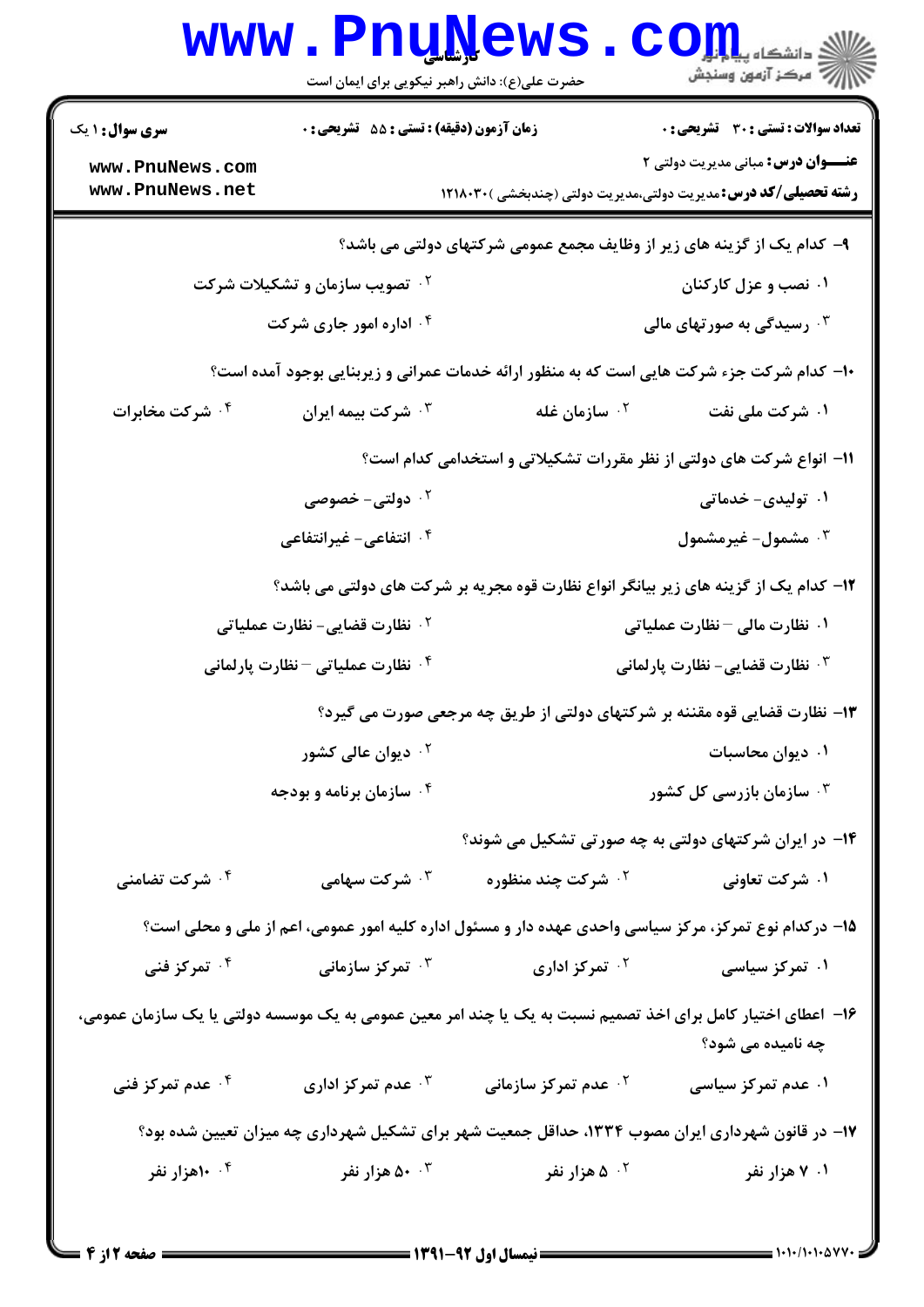|                                                                                                                                  | www.PnuNews                                                                                 |                                                                                                       | اللاد دانشگاه پیاور<br>۱۳ آلو دانشگاه پیاور وسنجش |  |  |  |  |
|----------------------------------------------------------------------------------------------------------------------------------|---------------------------------------------------------------------------------------------|-------------------------------------------------------------------------------------------------------|---------------------------------------------------|--|--|--|--|
| <b>سری سوال : ۱ یک</b>                                                                                                           | حضرت علی(ع): دانش راهبر نیکویی برای ایمان است<br>زمان آزمون (دقیقه) : تستی : 55 آتشریحی : 0 |                                                                                                       | <b>تعداد سوالات : تستی : 30 ٪ تشریحی : 0</b>      |  |  |  |  |
| www.PnuNews.com<br>www.PnuNews.net                                                                                               |                                                                                             | <b>رشته تحصیلی/کد درس:</b> مدیریت دولتی،مدیریت دولتی (چندبخشی ) <b>۱۲۱۸۰۳۰</b>                        | <b>عنـــوان درس:</b> مبانی مدیریت دولتی ۲         |  |  |  |  |
| ۹- کدام یک از گزینه های زیر از وظایف مجمع عمومی شرکتهای دولتی می باشد؟                                                           |                                                                                             |                                                                                                       |                                                   |  |  |  |  |
| <b>گ تصویب سازمان و تشکیلات شرکت</b>                                                                                             |                                                                                             | ۰۱ نصب و عزل کارکنان                                                                                  |                                                   |  |  |  |  |
| ۰۴ اداره امور جاری شرکت                                                                                                          |                                                                                             | ۰ <sup>۳</sup> رسیدگی به صورتهای مالی $\cdot$                                                         |                                                   |  |  |  |  |
|                                                                                                                                  |                                                                                             | ۱۰- کدام شرکت جزء شرکت هایی است که به منظور ارائه خدمات عمرانی و زیربنایی بوجود آمده است؟             |                                                   |  |  |  |  |
| ۰۴ شرکت مخابرات                                                                                                                  | شركت بيمه ايران $\cdot^{\mathsf{v}}$                                                        | ۰ <sup>۲</sup> سازمان غله                                                                             | ۰۱ شرکت ملی نفت                                   |  |  |  |  |
| 11- انواع شرکت های دولتی از نظر مقررات تشکیلاتی و استخدامی کدام است؟                                                             |                                                                                             |                                                                                                       |                                                   |  |  |  |  |
|                                                                                                                                  | ۰ <sup>۲</sup> دولتی- خصوصی                                                                 |                                                                                                       | ۰۱ تولیدی- خدماتی                                 |  |  |  |  |
|                                                                                                                                  | ۰۴ انتفاعی- غیرانتفاعی                                                                      |                                                                                                       | شمول- غيرمشمول $\cdot^{\mathsf{y}}$               |  |  |  |  |
|                                                                                                                                  |                                                                                             | ۱۲– کدام یک از گزینه های زیر بیانگر انواع نظارت قوه مجریه بر شرکت های دولتی می باشد؟                  |                                                   |  |  |  |  |
|                                                                                                                                  | ۰ <sup>۲</sup> نظارت قضایی- نظارت عملیاتی                                                   | ۰۱ نظارت مالی – نظارت عملیاتی                                                                         |                                                   |  |  |  |  |
| ۰۴ نظارت عملیاتی <sup>–</sup> نظارت پارلمانی                                                                                     |                                                                                             | <b>۴ نظارت قضایی- نظارت پارلمانی</b>                                                                  |                                                   |  |  |  |  |
|                                                                                                                                  |                                                                                             | ۱۳- نظارت قضایی قوه مقننه بر شرکتهای دولتی از طریق چه مرجعی صورت می گیرد؟                             |                                                   |  |  |  |  |
|                                                                                                                                  | <sup>۲ .</sup> دیوان عالی کشور                                                              |                                                                                                       | ۰۱ دیوان محاسبات                                  |  |  |  |  |
|                                                                                                                                  | شازمان برنامه و بودجه $\cdot$ ۴                                                             |                                                                                                       | ۰ <sup>۳</sup> سازمان بازرسی کل کشور $\cdot$      |  |  |  |  |
|                                                                                                                                  |                                                                                             | ۱۴- در ایران شرکتهای دولتی به چه صورتی تشکیل می شوند؟                                                 |                                                   |  |  |  |  |
| ۰۴ شرکت تضامنی                                                                                                                   | <b>۰۳ شرکت سهامی</b>                                                                        | ۰ <sup>۲</sup> شرکت چند منظوره                                                                        | ۰۱ شرکت تعاونی                                    |  |  |  |  |
|                                                                                                                                  |                                                                                             | ۱۵– درکدام نوع تمرکز، مرکز سیاسی واحدی عهده دار و مسئول اداره کلیه امور عمومی، اعم از ملی و محلی است؟ |                                                   |  |  |  |  |
| ۰ <sup>۴</sup> تمرکز فنی                                                                                                         | ۰ <sup>۳</sup> تمرکز سازمانی                                                                | ۰ <sup>۲</sup> تمرکز اداری                                                                            | ۰۱ تمرکز سیاسی                                    |  |  |  |  |
| ۱۶– اعطای اختیار کامل برای اخذ تصمیم نسبت به یک یا چند امر معین عمومی به یک موسسه دولتی یا یک سازمان عمومی،<br>چه نامیده می شود؟ |                                                                                             |                                                                                                       |                                                   |  |  |  |  |
| ۰۴ عدم تمرکز فنی                                                                                                                 | عدم تمرکز اداری $\cdot$ "                                                                   | ۰۲ عدم تمرکز سازمانی                                                                                  | ۰۱ عدم تمرکز سیاسی                                |  |  |  |  |
| ۱۷- در قانون شهرداری ایران مصوب ۱۳۳۴، حداقل جمعیت شهر برای تشکیل شهرداری چه میزان تعیین شده بود؟                                 |                                                                                             |                                                                                                       |                                                   |  |  |  |  |
| ۰۴ ۱۰هزار نفر                                                                                                                    | ۰۰۳ هزار نفر                                                                                | ۰ <sup>۲</sup> ۵ هزار نفر                                                                             | ۰۱ / هزار نفر                                     |  |  |  |  |
|                                                                                                                                  |                                                                                             |                                                                                                       |                                                   |  |  |  |  |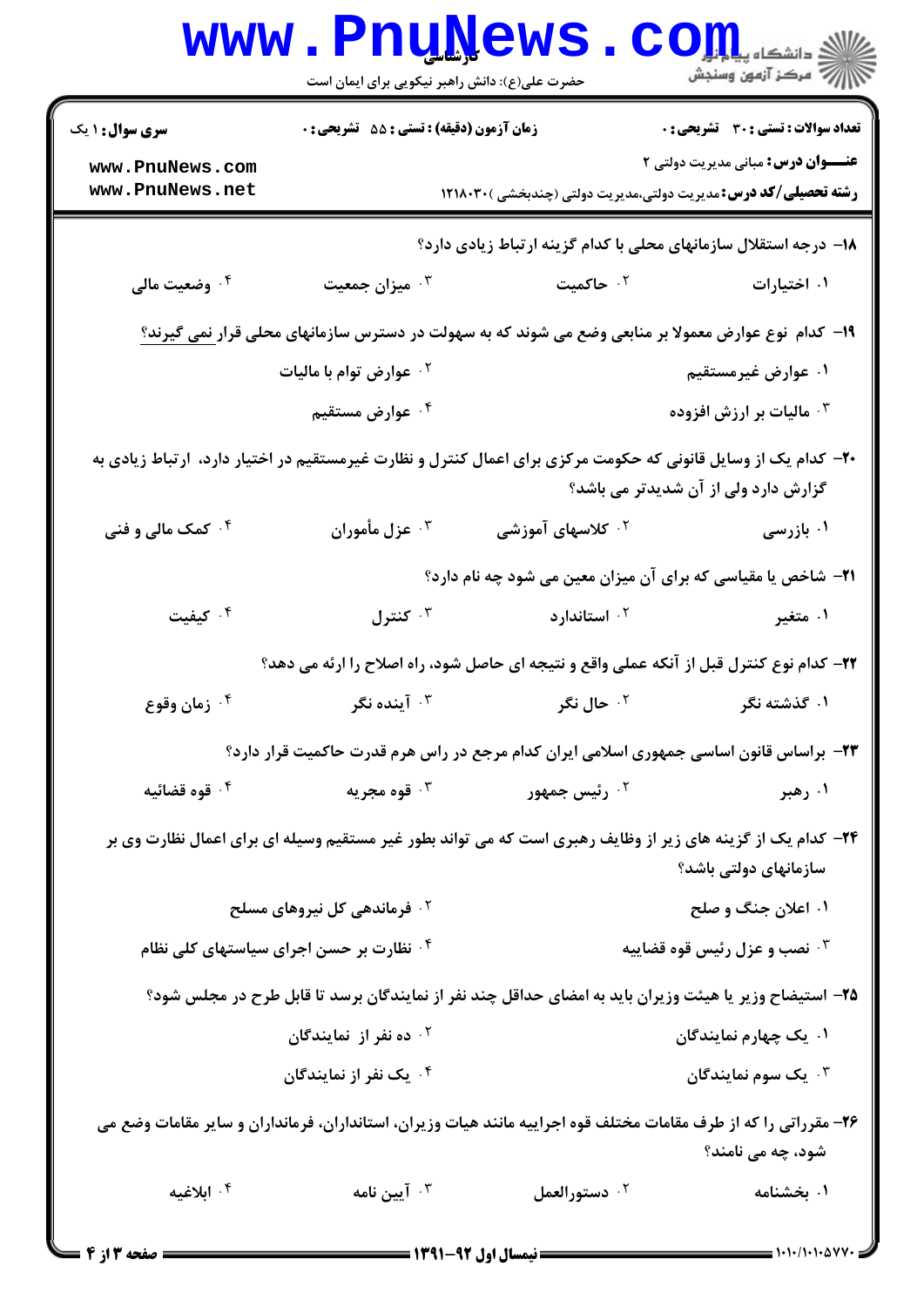|                                                                                                                                                       | <b>www.PnuNews</b><br>حضرت علی(ع): دانش راهبر نیکویی برای ایمان است |                                                                                                              | الاد دانشگاه پیام <mark>براور</mark><br>ال <sup>تن</sup> مرکز آزمون وسنجش |  |
|-------------------------------------------------------------------------------------------------------------------------------------------------------|---------------------------------------------------------------------|--------------------------------------------------------------------------------------------------------------|---------------------------------------------------------------------------|--|
| <b>سری سوال : ۱ یک</b>                                                                                                                                | زمان آزمون (دقیقه) : تستی : 55 آتشریحی : 0                          |                                                                                                              | <b>تعداد سوالات : تستی : 30 - تشریحی : 0</b>                              |  |
| www.PnuNews.com<br>www.PnuNews.net                                                                                                                    |                                                                     |                                                                                                              | <b>عنـــوان درس:</b> مبانی مدیریت دولتی ۲                                 |  |
|                                                                                                                                                       |                                                                     | <b>رشته تحصیلی/کد درس:</b> مدیریت دولتی،مدیریت دولتی (چندبخشی )۲۱۸۰۳۰                                        |                                                                           |  |
|                                                                                                                                                       |                                                                     | ۱۸– درجه استقلال سازمانهای محلی با کدام گزینه ارتباط زیادی دارد؟                                             |                                                                           |  |
| ۰۴ وضعیت مالی                                                                                                                                         | ۰۳ میزان جمعیت                                                      | ۰۲ حاکمیت                                                                                                    | ۰۱ اختیارات                                                               |  |
|                                                                                                                                                       |                                                                     | ۱۹ – کدام  نوع عوارض معمولا بر منابعی وضع می شوند که به سهولت در دسترس سازمانهای محلی قرار <u>نمی گیرند؟</u> |                                                                           |  |
|                                                                                                                                                       | <sup>۲</sup> ۰ عوارض توام با مالیات                                 |                                                                                                              | ۰۱ عوارض غیرمستقیم                                                        |  |
|                                                                                                                                                       | ۰ <sup>۴</sup> عوارض مستقیم                                         |                                                                                                              | ا مالیات بر ارزش افزوده $\cdot$ ۳                                         |  |
| +۲- کدام یک از وسایل قانونی که حکومت مرکزی برای اعمال کنترل و نظارت غیرمستقیم در اختیار دارد، ارتباط زیادی به<br>گزارش دارد ولی از آن شدیدتر می باشد؟ |                                                                     |                                                                                                              |                                                                           |  |
| ۰۴ کمک مالی و فنی                                                                                                                                     | ۰۳ عزل مأموران                                                      | ۰ <sup>۲</sup> کلاسهای آموزشی                                                                                | ۰۱ بازرسی                                                                 |  |
|                                                                                                                                                       |                                                                     | <b>۲۱</b> - شاخص یا مقیاسی که برای آن میزان معین می شود چه نام دارد؟                                         |                                                                           |  |
| کیفیت $\cdot$ ۴                                                                                                                                       | کنترل $\cdot^{\mathsf{r}}$                                          | استاندارد $\cdot$ ۲                                                                                          | ۰۱ متغیر                                                                  |  |
|                                                                                                                                                       |                                                                     | 22- کدام نوع کنترل قبل از آنکه عملی واقع و نتیجه ای حاصل شود، راه اصلاح را ارئه می دهد؟                      |                                                                           |  |
| ۰ <sup>۴</sup> زمان وقوع                                                                                                                              | آينده نگر $\cdot$                                                   | ۰ <sup>۲</sup> حال نگر                                                                                       | ۰۱ گذشته نگر                                                              |  |
|                                                                                                                                                       |                                                                     | ۲۳– براساس قانون اساسی جمهوری اسلامی ایران کدام مرجع در راس هرم قدرت حاکمیت قرار دارد؟                       |                                                                           |  |
| ۰ <sup>۴</sup> قوه قضائیه                                                                                                                             | قوه مجريه $\cdot$                                                   | ۰ <sup>۲</sup> رئیس جمهور                                                                                    | ۰۱ رهبر                                                                   |  |
|                                                                                                                                                       |                                                                     | ۲۴- کدام یک از گزینه های زیر از وظایف رهبری است که می تواند بطور غیر مستقیم وسیله ای برای اعمال نظارت وی بر  | سازمانهای دولتی باشد؟                                                     |  |
|                                                                                                                                                       | <sup>۲ .</sup> فرماندهی کل نیروهای مسلح                             |                                                                                                              | ۰۱ اعلان جنگ و صلح                                                        |  |
|                                                                                                                                                       | ۰۴ نظارت بر حسن اجرای سیاستهای کلی نظام                             | ۰۳ نصب و عزل رئیس قوه قضاییه $\cdot$ ۳                                                                       |                                                                           |  |
|                                                                                                                                                       |                                                                     | ۲۵– استیضاح وزیر یا هیئت وزیران باید به امضای حداقل چند نفر از نمایندگان برسد تا قابل طرح در مجلس شود؟       |                                                                           |  |
|                                                                                                                                                       | ۰۲ ده نفر از  نمایندگان                                             |                                                                                                              | ۰۱ یک چهارم نمایندگان                                                     |  |
|                                                                                                                                                       | ۰۴ یک نفر از نمایندگان                                              |                                                                                                              | ۰۳ یک سوم نمایند <i>گ</i> ان                                              |  |
| ۲۶– مقرراتی را که از طرف مقامات مختلف قوه اجراییه مانند هیات وزیران، استانداران، فرمانداران و سایر مقامات وضع می                                      |                                                                     |                                                                                                              |                                                                           |  |
|                                                                                                                                                       |                                                                     |                                                                                                              | شود، چه می نامند؟                                                         |  |
| ۰۴ ابلاغیه                                                                                                                                            | ا آيين نامه $\cdot$                                                 | ۰ <sup>۲</sup> دستورالعمل                                                                                    | ۰۱ بخشنامه                                                                |  |
|                                                                                                                                                       |                                                                     |                                                                                                              |                                                                           |  |